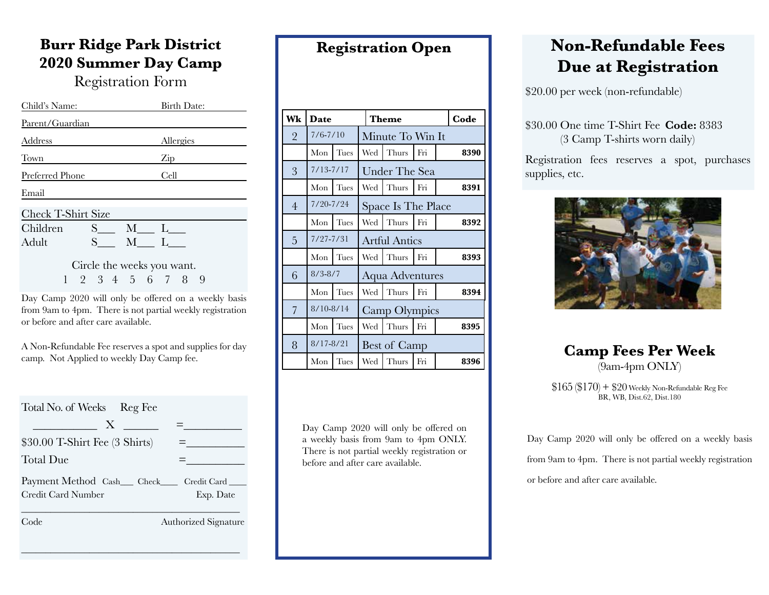### **Burr Ridge Park District 2020 Summer Day Camp**

Registration Form

| Child's Name:              |                   |     |  |      | Birth Date: |   |  |  |
|----------------------------|-------------------|-----|--|------|-------------|---|--|--|
| Parent/Guardian            |                   |     |  |      |             |   |  |  |
| Address                    |                   |     |  |      | Allergies   |   |  |  |
| Town                       |                   |     |  | Zip  |             |   |  |  |
| Preferred Phone            |                   |     |  | Cell |             |   |  |  |
| Email                      |                   |     |  |      |             |   |  |  |
| Check T-Shirt Size         |                   |     |  |      |             |   |  |  |
| Children                   | $S_{-}$           | M L |  |      |             |   |  |  |
| <b>Adult</b>               | $S \qquad \qquad$ | M L |  |      |             |   |  |  |
| Circle the weeks you want. |                   |     |  |      |             |   |  |  |
|                            | 2 3 4 5 6 7 8     |     |  |      |             | 9 |  |  |

Day Camp 2020 will only be offered on a weekly basis from 9am to 4pm. There is not partial weekly registration or before and after care available.

A Non-Refundable Fee reserves a spot and supplies for day camp. Not Applied to weekly Day Camp fee.

| Total No. of Weeks Reg Fee                     |
|------------------------------------------------|
| $\mathbf{X}$                                   |
| $$30.00$ T-Shirt Fee $(3 \text{ Shirt})$       |
| Total Due                                      |
| Payment Method Cash__ Check____<br>Credit Card |
| Credit Card Number<br>Exp. Date                |
| Code<br>Authorized Signature                   |

\_\_\_\_\_\_\_\_\_\_\_\_\_\_\_\_\_\_\_\_\_\_\_\_\_\_\_\_\_\_\_\_\_\_\_\_\_\_\_\_\_\_\_\_\_

| Wk             | Date          |      |                      | <b>Theme</b>  | Code |      |  |  |  |
|----------------|---------------|------|----------------------|---------------|------|------|--|--|--|
| $\overline{2}$ | $7/6 - 7/10$  |      | Minute To Win It     |               |      |      |  |  |  |
|                | Mon           | Tues | Wed                  | Thurs         | Fri  | 8390 |  |  |  |
| 3              | $7/13 - 7/17$ |      |                      | Under The Sea |      |      |  |  |  |
|                | Mon           | Tues | Wed                  | Thurs         | Fri  | 8391 |  |  |  |
| $\overline{4}$ | $7/20 - 7/24$ |      | Space Is The Place   |               |      |      |  |  |  |
|                | Mon           | Tues | Wed                  | Thurs         | Fri  | 8392 |  |  |  |
| 5              | $7/27 - 7/31$ |      | <b>Artful Antics</b> |               |      |      |  |  |  |
|                | Mon           | Tues | Wed                  | Thurs         | Fri  | 8393 |  |  |  |
| 6              | $8/3 - 8/7$   |      | Aqua Adventures      |               |      |      |  |  |  |
|                | Mon           | Tues | Wed                  | Thurs         | Fri  | 8394 |  |  |  |
| 7              | $8/10 - 8/14$ |      |                      | Camp Olympics |      |      |  |  |  |
|                | Mon           | Tues | Wed                  | Thurs         | Fri  | 8395 |  |  |  |
| 8              | $8/17 - 8/21$ |      | Best of Camp         |               |      |      |  |  |  |
|                | Mon           | Tues | Wed                  | Thurs         | Fri  | 8396 |  |  |  |

**Registration Open**

Day Camp 2020 will only be offered on a weekly basis from 9am to 4pm ONLY. There is not partial weekly registration or before and after care available.

# **Non-Refundable Fees Due at Registration**

\$20.00 per week (non-refundable)

#### \$30.00 One time T-Shirt Fee **Code:** 8383 (3 Camp T-shirts worn daily)

Registration fees reserves a spot, purchases supplies, etc.



### **Camp Fees Per Week** (9am-4pm ONLY)

 $$165 ($170) + $20$  Weekly Non-Refundable Reg Fee BR, WB, Dist.62, Dist.180

Day Camp 2020 will only be offered on a weekly basis from 9am to 4pm. There is not partial weekly registration or before and after care available.